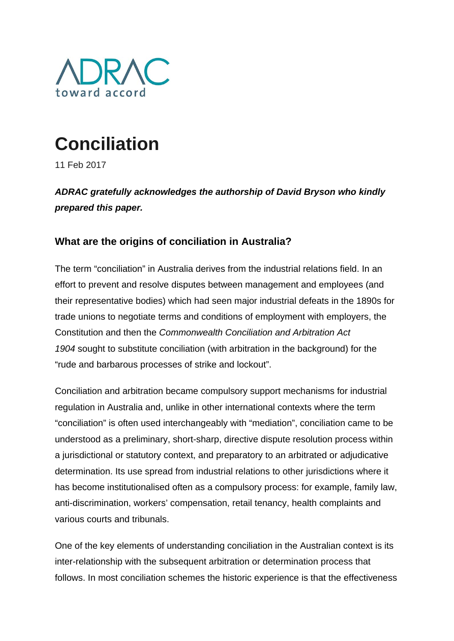

# **Conciliation**

11 Feb 2017

*ADRAC gratefully acknowledges the authorship of David Bryson who kindly prepared this paper.*

# **What are the origins of conciliation in Australia?**

The term "conciliation" in Australia derives from the industrial relations field. In an effort to prevent and resolve disputes between management and employees (and their representative bodies) which had seen major industrial defeats in the 1890s for trade unions to negotiate terms and conditions of employment with employers, the Constitution and then the *Commonwealth Conciliation and Arbitration Act 1904* sought to substitute conciliation (with arbitration in the background) for the "rude and barbarous processes of strike and lockout".

Conciliation and arbitration became compulsory support mechanisms for industrial regulation in Australia and, unlike in other international contexts where the term "conciliation" is often used interchangeably with "mediation", conciliation came to be understood as a preliminary, short-sharp, directive dispute resolution process within a jurisdictional or statutory context, and preparatory to an arbitrated or adjudicative determination. Its use spread from industrial relations to other jurisdictions where it has become institutionalised often as a compulsory process: for example, family law, anti-discrimination, workers' compensation, retail tenancy, health complaints and various courts and tribunals.

One of the key elements of understanding conciliation in the Australian context is its inter-relationship with the subsequent arbitration or determination process that follows. In most conciliation schemes the historic experience is that the effectiveness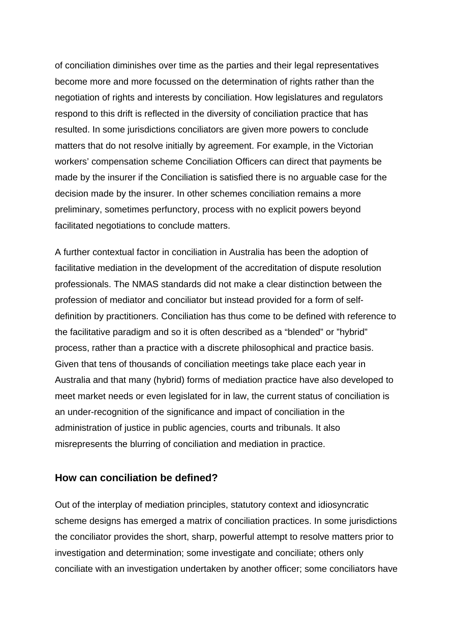of conciliation diminishes over time as the parties and their legal representatives become more and more focussed on the determination of rights rather than the negotiation of rights and interests by conciliation. How legislatures and regulators respond to this drift is reflected in the diversity of conciliation practice that has resulted. In some jurisdictions conciliators are given more powers to conclude matters that do not resolve initially by agreement. For example, in the Victorian workers' compensation scheme Conciliation Officers can direct that payments be made by the insurer if the Conciliation is satisfied there is no arguable case for the decision made by the insurer. In other schemes conciliation remains a more preliminary, sometimes perfunctory, process with no explicit powers beyond facilitated negotiations to conclude matters.

A further contextual factor in conciliation in Australia has been the adoption of facilitative mediation in the development of the accreditation of dispute resolution professionals. The NMAS standards did not make a clear distinction between the profession of mediator and conciliator but instead provided for a form of selfdefinition by practitioners. Conciliation has thus come to be defined with reference to the facilitative paradigm and so it is often described as a "blended" or "hybrid" process, rather than a practice with a discrete philosophical and practice basis. Given that tens of thousands of conciliation meetings take place each year in Australia and that many (hybrid) forms of mediation practice have also developed to meet market needs or even legislated for in law, the current status of conciliation is an under-recognition of the significance and impact of conciliation in the administration of justice in public agencies, courts and tribunals. It also misrepresents the blurring of conciliation and mediation in practice.

## **How can conciliation be defined?**

Out of the interplay of mediation principles, statutory context and idiosyncratic scheme designs has emerged a matrix of conciliation practices. In some jurisdictions the conciliator provides the short, sharp, powerful attempt to resolve matters prior to investigation and determination; some investigate and conciliate; others only conciliate with an investigation undertaken by another officer; some conciliators have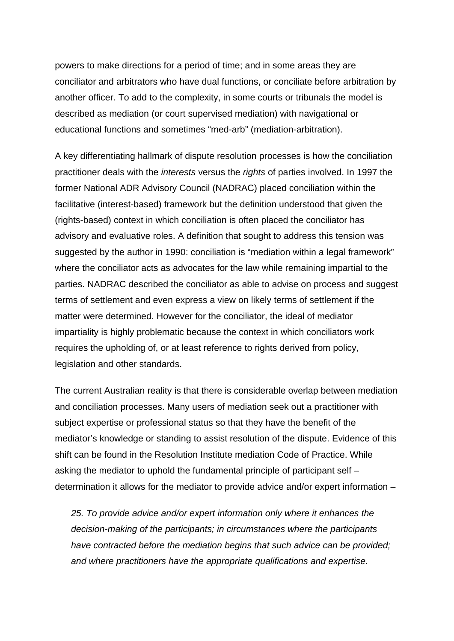powers to make directions for a period of time; and in some areas they are conciliator and arbitrators who have dual functions, or conciliate before arbitration by another officer. To add to the complexity, in some courts or tribunals the model is described as mediation (or court supervised mediation) with navigational or educational functions and sometimes "med-arb" (mediation-arbitration).

A key differentiating hallmark of dispute resolution processes is how the conciliation practitioner deals with the *interests* versus the *rights* of parties involved. In 1997 the former National ADR Advisory Council (NADRAC) placed conciliation within the facilitative (interest-based) framework but the definition understood that given the (rights-based) context in which conciliation is often placed the conciliator has advisory and evaluative roles. A definition that sought to address this tension was suggested by the author in 1990: conciliation is "mediation within a legal framework" where the conciliator acts as advocates for the law while remaining impartial to the parties. NADRAC described the conciliator as able to advise on process and suggest terms of settlement and even express a view on likely terms of settlement if the matter were determined. However for the conciliator, the ideal of mediator impartiality is highly problematic because the context in which conciliators work requires the upholding of, or at least reference to rights derived from policy, legislation and other standards.

The current Australian reality is that there is considerable overlap between mediation and conciliation processes. Many users of mediation seek out a practitioner with subject expertise or professional status so that they have the benefit of the mediator's knowledge or standing to assist resolution of the dispute. Evidence of this shift can be found in the Resolution Institute mediation Code of Practice. While asking the mediator to uphold the fundamental principle of participant self – determination it allows for the mediator to provide advice and/or expert information –

*25. To provide advice and/or expert information only where it enhances the decision-making of the participants; in circumstances where the participants have contracted before the mediation begins that such advice can be provided; and where practitioners have the appropriate qualifications and expertise.*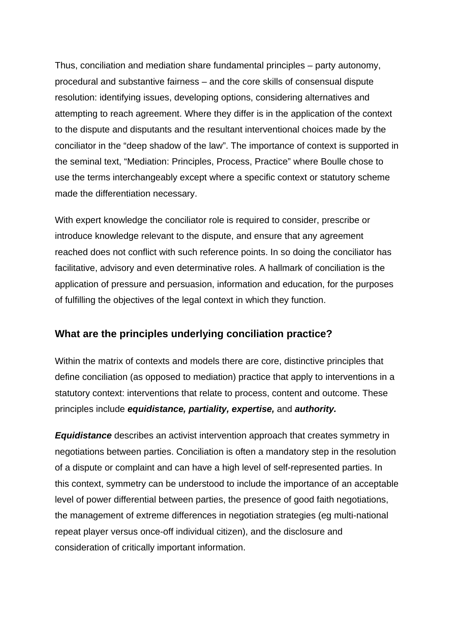Thus, conciliation and mediation share fundamental principles – party autonomy, procedural and substantive fairness – and the core skills of consensual dispute resolution: identifying issues, developing options, considering alternatives and attempting to reach agreement. Where they differ is in the application of the context to the dispute and disputants and the resultant interventional choices made by the conciliator in the "deep shadow of the law". The importance of context is supported in the seminal text, "Mediation: Principles, Process, Practice" where Boulle chose to use the terms interchangeably except where a specific context or statutory scheme made the differentiation necessary.

With expert knowledge the conciliator role is required to consider, prescribe or introduce knowledge relevant to the dispute, and ensure that any agreement reached does not conflict with such reference points. In so doing the conciliator has facilitative, advisory and even determinative roles. A hallmark of conciliation is the application of pressure and persuasion, information and education, for the purposes of fulfilling the objectives of the legal context in which they function.

# **What are the principles underlying conciliation practice?**

Within the matrix of contexts and models there are core, distinctive principles that define conciliation (as opposed to mediation) practice that apply to interventions in a statutory context: interventions that relate to process, content and outcome. These principles include *equidistance, partiality, expertise,* and *authority.*

*Equidistance* describes an activist intervention approach that creates symmetry in negotiations between parties. Conciliation is often a mandatory step in the resolution of a dispute or complaint and can have a high level of self-represented parties. In this context, symmetry can be understood to include the importance of an acceptable level of power differential between parties, the presence of good faith negotiations, the management of extreme differences in negotiation strategies (eg multi-national repeat player versus once-off individual citizen), and the disclosure and consideration of critically important information.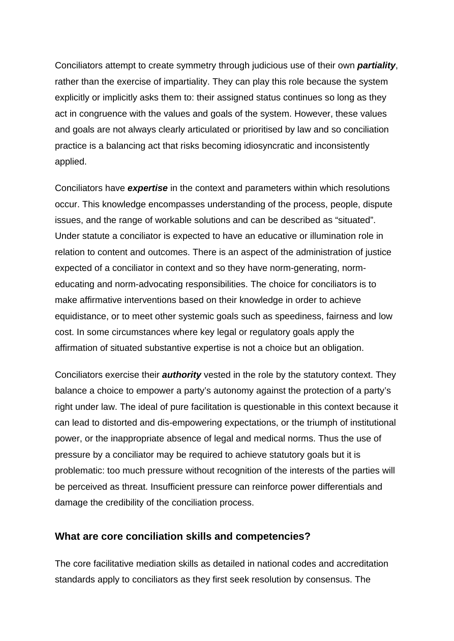Conciliators attempt to create symmetry through judicious use of their own *partiality*, rather than the exercise of impartiality. They can play this role because the system explicitly or implicitly asks them to: their assigned status continues so long as they act in congruence with the values and goals of the system. However, these values and goals are not always clearly articulated or prioritised by law and so conciliation practice is a balancing act that risks becoming idiosyncratic and inconsistently applied.

Conciliators have *expertise* in the context and parameters within which resolutions occur. This knowledge encompasses understanding of the process, people, dispute issues, and the range of workable solutions and can be described as "situated". Under statute a conciliator is expected to have an educative or illumination role in relation to content and outcomes. There is an aspect of the administration of justice expected of a conciliator in context and so they have norm-generating, normeducating and norm-advocating responsibilities. The choice for conciliators is to make affirmative interventions based on their knowledge in order to achieve equidistance, or to meet other systemic goals such as speediness, fairness and low cost. In some circumstances where key legal or regulatory goals apply the affirmation of situated substantive expertise is not a choice but an obligation.

Conciliators exercise their *authority* vested in the role by the statutory context. They balance a choice to empower a party's autonomy against the protection of a party's right under law. The ideal of pure facilitation is questionable in this context because it can lead to distorted and dis-empowering expectations, or the triumph of institutional power, or the inappropriate absence of legal and medical norms. Thus the use of pressure by a conciliator may be required to achieve statutory goals but it is problematic: too much pressure without recognition of the interests of the parties will be perceived as threat. Insufficient pressure can reinforce power differentials and damage the credibility of the conciliation process.

#### **What are core conciliation skills and competencies?**

The core facilitative mediation skills as detailed in national codes and accreditation standards apply to conciliators as they first seek resolution by consensus. The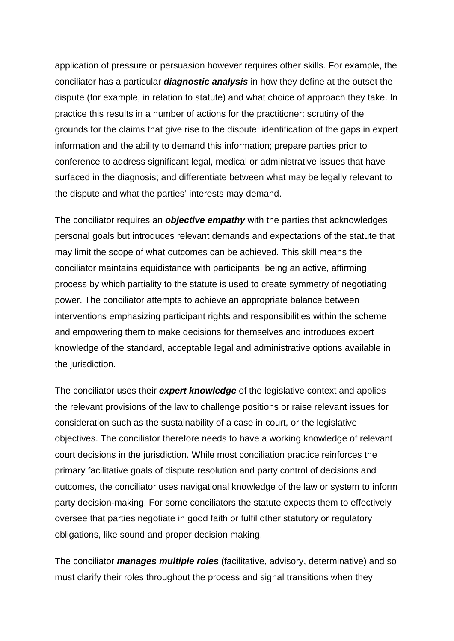application of pressure or persuasion however requires other skills. For example, the conciliator has a particular *diagnostic analysis* in how they define at the outset the dispute (for example, in relation to statute) and what choice of approach they take. In practice this results in a number of actions for the practitioner: scrutiny of the grounds for the claims that give rise to the dispute; identification of the gaps in expert information and the ability to demand this information; prepare parties prior to conference to address significant legal, medical or administrative issues that have surfaced in the diagnosis; and differentiate between what may be legally relevant to the dispute and what the parties' interests may demand.

The conciliator requires an *objective empathy* with the parties that acknowledges personal goals but introduces relevant demands and expectations of the statute that may limit the scope of what outcomes can be achieved. This skill means the conciliator maintains equidistance with participants, being an active, affirming process by which partiality to the statute is used to create symmetry of negotiating power. The conciliator attempts to achieve an appropriate balance between interventions emphasizing participant rights and responsibilities within the scheme and empowering them to make decisions for themselves and introduces expert knowledge of the standard, acceptable legal and administrative options available in the jurisdiction.

The conciliator uses their *expert knowledge* of the legislative context and applies the relevant provisions of the law to challenge positions or raise relevant issues for consideration such as the sustainability of a case in court, or the legislative objectives. The conciliator therefore needs to have a working knowledge of relevant court decisions in the jurisdiction. While most conciliation practice reinforces the primary facilitative goals of dispute resolution and party control of decisions and outcomes, the conciliator uses navigational knowledge of the law or system to inform party decision-making. For some conciliators the statute expects them to effectively oversee that parties negotiate in good faith or fulfil other statutory or regulatory obligations, like sound and proper decision making.

The conciliator *manages multiple roles* (facilitative, advisory, determinative) and so must clarify their roles throughout the process and signal transitions when they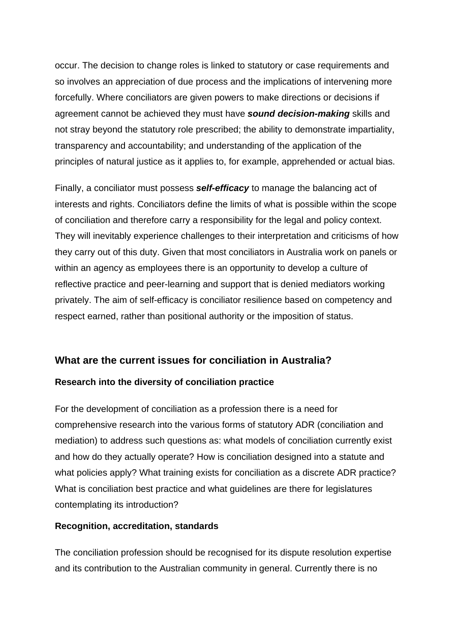occur. The decision to change roles is linked to statutory or case requirements and so involves an appreciation of due process and the implications of intervening more forcefully. Where conciliators are given powers to make directions or decisions if agreement cannot be achieved they must have *sound decision-making* skills and not stray beyond the statutory role prescribed; the ability to demonstrate impartiality, transparency and accountability; and understanding of the application of the principles of natural justice as it applies to, for example, apprehended or actual bias.

Finally, a conciliator must possess *self-efficacy* to manage the balancing act of interests and rights. Conciliators define the limits of what is possible within the scope of conciliation and therefore carry a responsibility for the legal and policy context. They will inevitably experience challenges to their interpretation and criticisms of how they carry out of this duty. Given that most conciliators in Australia work on panels or within an agency as employees there is an opportunity to develop a culture of reflective practice and peer-learning and support that is denied mediators working privately. The aim of self-efficacy is conciliator resilience based on competency and respect earned, rather than positional authority or the imposition of status.

# **What are the current issues for conciliation in Australia?**

## **Research into the diversity of conciliation practice**

For the development of conciliation as a profession there is a need for comprehensive research into the various forms of statutory ADR (conciliation and mediation) to address such questions as: what models of conciliation currently exist and how do they actually operate? How is conciliation designed into a statute and what policies apply? What training exists for conciliation as a discrete ADR practice? What is conciliation best practice and what guidelines are there for legislatures contemplating its introduction?

## **Recognition, accreditation, standards**

The conciliation profession should be recognised for its dispute resolution expertise and its contribution to the Australian community in general. Currently there is no